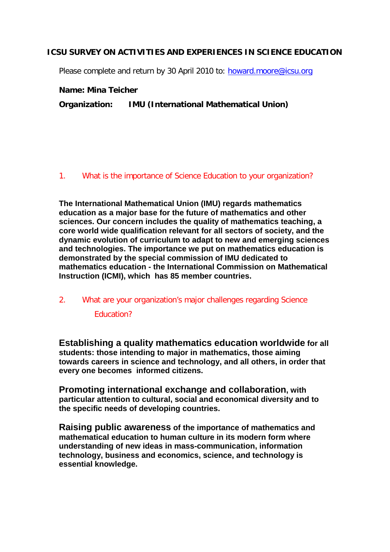## **ICSU SURVEY ON ACTIVITIES AND EXPERIENCES IN SCIENCE EDUCATION**

Please complete and return by 30 April 2010 to: [howard.moore@icsu.org](mailto:howard.moore@icsu.org)

**Name: Mina Teicher**

**Organization: IMU (International Mathematical Union)**

#### 1. What is the importance of Science Education to your organization?

**The International Mathematical Union (IMU) regards mathematics education as a major base for the future of mathematics and other sciences. Our concern includes the quality of mathematics teaching, a core world wide qualification relevant for all sectors of society, and the dynamic evolution of curriculum to adapt to new and emerging sciences and technologies. The importance we put on mathematics education is demonstrated by the special commission of IMU dedicated to mathematics education - the International Commission on Mathematical Instruction (ICMI), which has 85 member countries.**

# 2. What are your organization's major challenges regarding Science

Education?

**Establishing a quality mathematics education worldwide for all students: those intending to major in mathematics, those aiming towards careers in science and technology, and all others, in order that every one becomes informed citizens.** 

**Promoting international exchange and collaboration, with particular attention to cultural, social and economical diversity and to the specific needs of developing countries.**

**Raising public awareness of the importance of mathematics and mathematical education to human culture in its modern form where understanding of new ideas in mass-communication, information technology, business and economics, science, and technology is essential knowledge.**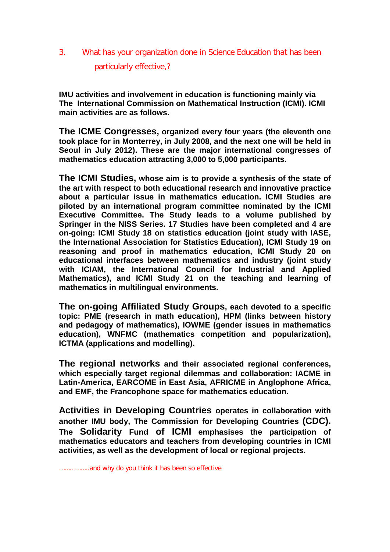## 3. What has your organization done in Science Education that has been particularly effective,?

**IMU activities and involvement in education is functioning mainly via The International Commission on Mathematical Instruction (ICMI). ICMI main activities are as follows.**

**The ICME Congresses, organized every four years (the eleventh one took place for in Monterrey, in July 2008, and the next one will be held in Seoul in July 2012). These are the major international congresses of mathematics education attracting 3,000 to 5,000 participants.**

**The ICMI Studies, whose aim is to provide a synthesis of the state of the art with respect to both educational research and innovative practice about a particular issue in mathematics education. ICMI Studies are piloted by an international program committee nominated by the ICMI Executive Committee. The Study leads to a volume published by Springer in the NISS Series. 17 Studies have been completed and 4 are on-going: ICMI Study 18 on statistics education (joint study with IASE, the International Association for Statistics Education), ICMI Study 19 on reasoning and proof in mathematics education, ICMI Study 20 on educational interfaces between mathematics and industry (joint study with ICIAM, the International Council for Industrial and Applied Mathematics), and ICMI Study 21 on the teaching and learning of mathematics in multilingual environments.**

**The on-going Affiliated Study Groups, each devoted to a specific topic: PME (research in math education), HPM (links between history and pedagogy of mathematics), IOWME (gender issues in mathematics education), WNFMC (mathematics competition and popularization), ICTMA (applications and modelling).**

**The regional networks and their associated regional conferences, which especially target regional dilemmas and collaboration: IACME in Latin-America, EARCOME in East Asia, AFRICME in Anglophone Africa, and EMF, the Francophone space for mathematics education.**

**Activities in Developing Countries operates in collaboration with another IMU body, The Commission for Developing Countries (CDC). The Solidarity Fund of ICMI emphasises the participation of mathematics educators and teachers from developing countries in ICMI activities, as well as the development of local or regional projects.**

……………..and why do you think it has been so effective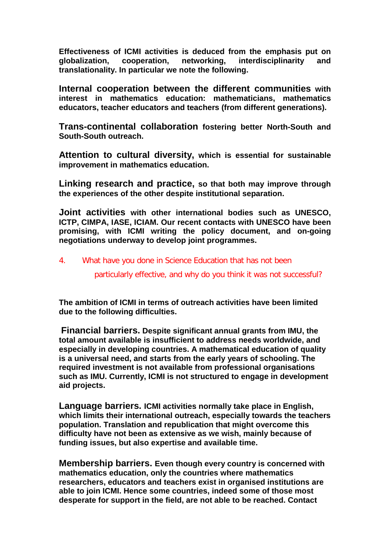**Effectiveness of ICMI activities is deduced from the emphasis put on globalization, cooperation, networking, interdisciplinarity and translationality. In particular we note the following.**

**Internal cooperation between the different communities with interest in mathematics education: mathematicians, mathematics educators, teacher educators and teachers (from different generations).**

**Trans-continental collaboration fostering better North-South and South-South outreach.**

**Attention to cultural diversity, which is essential for sustainable improvement in mathematics education.**

**Linking research and practice, so that both may improve through the experiences of the other despite institutional separation.**

**Joint activities with other international bodies such as UNESCO, ICTP, CIMPA, IASE, ICIAM. Our recent contacts with UNESCO have been promising, with ICMI writing the policy document, and on-going negotiations underway to develop joint programmes.**

4. What have you done in Science Education that has not been

particularly effective, and why do you think it was not successful?

**The ambition of ICMI in terms of outreach activities have been limited due to the following difficulties.**

**Financial barriers. Despite significant annual grants from IMU, the total amount available is insufficient to address needs worldwide, and especially in developing countries. A mathematical education of quality is a universal need, and starts from the early years of schooling. The required investment is not available from professional organisations such as IMU. Currently, ICMI is not structured to engage in development aid projects.**

**Language barriers. ICMI activities normally take place in English, which limits their international outreach, especially towards the teachers population. Translation and republication that might overcome this difficulty have not been as extensive as we wish, mainly because of funding issues, but also expertise and available time.**

**Membership barriers. Even though every country is concerned with mathematics education, only the countries where mathematics researchers, educators and teachers exist in organised institutions are able to join ICMI. Hence some countries, indeed some of those most desperate for support in the field, are not able to be reached. Contact**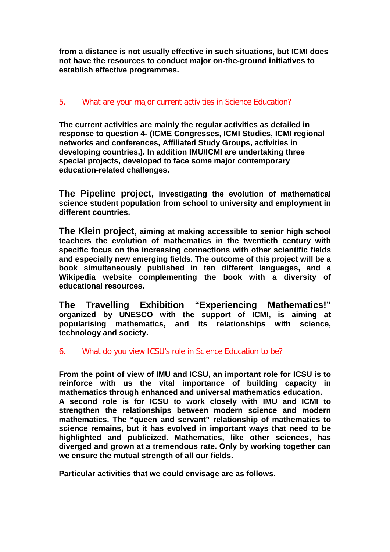**from a distance is not usually effective in such situations, but ICMI does not have the resources to conduct major on-the-ground initiatives to establish effective programmes.**

## 5. What are your major current activities in Science Education?

**The current activities are mainly the regular activities as detailed in response to question 4- (ICME Congresses, ICMI Studies, ICMI regional networks and conferences, Affiliated Study Groups, activities in developing countries,). In addition IMU/ICMI are undertaking three special projects, developed to face some major contemporary education-related challenges.**

**The Pipeline project, investigating the evolution of mathematical science student population from school to university and employment in different countries.**

**The Klein project, aiming at making accessible to senior high school teachers the evolution of mathematics in the twentieth century with specific focus on the increasing connections with other scientific fields and especially new emerging fields. The outcome of this project will be a book simultaneously published in ten different languages, and a Wikipedia website complementing the book with a diversity of educational resources.**

**The Travelling Exhibition "Experiencing Mathematics!" organized by UNESCO with the support of ICMI, is aiming at popularising mathematics, and its relationships with science, technology and society.**

## 6. What do you view ICSU's role in Science Education to be?

**From the point of view of IMU and ICSU, an important role for ICSU is to reinforce with us the vital importance of building capacity in mathematics through enhanced and universal mathematics education. A second role is for ICSU to work closely with IMU and ICMI to strengthen the relationships between modern science and modern mathematics. The "queen and servant" relationship of mathematics to science remains, but it has evolved in important ways that need to be highlighted and publicized. Mathematics, like other sciences, has diverged and grown at a tremendous rate. Only by working together can we ensure the mutual strength of all our fields.**

**Particular activities that we could envisage are as follows.**